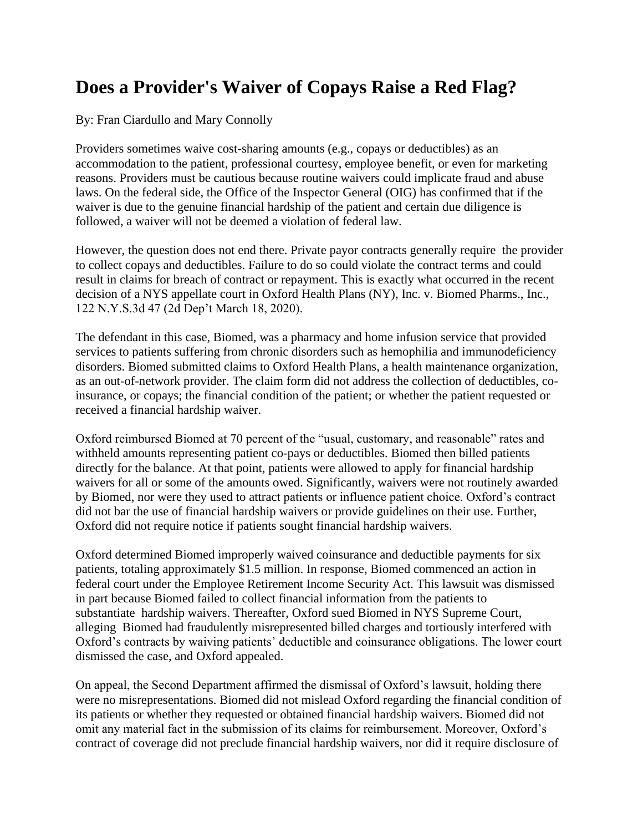## **Does a Provider's Waiver of Copays Raise a Red Flag?**

By: Fran Ciardullo and Mary Connolly

Providers sometimes waive cost-sharing amounts (e.g., copays or deductibles) as an accommodation to the patient, professional courtesy, employee benefit, or even for marketing reasons. Providers must be cautious because routine waivers could implicate fraud and abuse laws. On the federal side, the Office of the Inspector General (OIG) has confirmed that if the waiver is due to the genuine financial hardship of the patient and certain due diligence is followed, a waiver will not be deemed a violation of federal law.

However, the question does not end there. Private payor contracts generally require the provider to collect copays and deductibles. Failure to do so could violate the contract terms and could result in claims for breach of contract or repayment. This is exactly what occurred in the recent decision of a NYS appellate court in Oxford Health Plans (NY), Inc. v. Biomed Pharms., Inc., 122 N.Y.S.3d 47 (2d Dep't March 18, 2020).

The defendant in this case, Biomed, was a pharmacy and home infusion service that provided services to patients suffering from chronic disorders such as hemophilia and immunodeficiency disorders. Biomed submitted claims to Oxford Health Plans, a health maintenance organization, as an out-of-network provider. The claim form did not address the collection of deductibles, coinsurance, or copays; the financial condition of the patient; or whether the patient requested or received a financial hardship waiver.

Oxford reimbursed Biomed at 70 percent of the "usual, customary, and reasonable" rates and withheld amounts representing patient co-pays or deductibles. Biomed then billed patients directly for the balance. At that point, patients were allowed to apply for financial hardship waivers for all or some of the amounts owed. Significantly, waivers were not routinely awarded by Biomed, nor were they used to attract patients or influence patient choice. Oxford's contract did not bar the use of financial hardship waivers or provide guidelines on their use. Further, Oxford did not require notice if patients sought financial hardship waivers.

Oxford determined Biomed improperly waived coinsurance and deductible payments for six patients, totaling approximately \$1.5 million. In response, Biomed commenced an action in federal court under the Employee Retirement Income Security Act. This lawsuit was dismissed in part because Biomed failed to collect financial information from the patients to substantiate hardship waivers. Thereafter, Oxford sued Biomed in NYS Supreme Court, alleging Biomed had fraudulently misrepresented billed charges and tortiously interfered with Oxford's contracts by waiving patients' deductible and coinsurance obligations. The lower court dismissed the case, and Oxford appealed.

On appeal, the Second Department affirmed the dismissal of Oxford's lawsuit, holding there were no misrepresentations. Biomed did not mislead Oxford regarding the financial condition of its patients or whether they requested or obtained financial hardship waivers. Biomed did not omit any material fact in the submission of its claims for reimbursement. Moreover, Oxford's contract of coverage did not preclude financial hardship waivers, nor did it require disclosure of